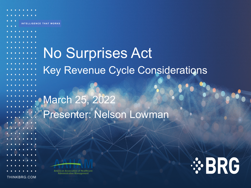# **INTELLIGENCE THAT WE SHOW IT WORKS INTO A LITTLE WITH INTELLIGENCE THAT WORKS** No Surprises Act Key Revenue Cycle Considerations March 25, 2022 Presenter: Nelson Lowman **American Association of Healthcare Administrative Management** THINKBRG.COM

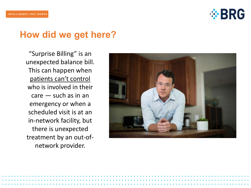

### **How did we get here?**

"Surprise Billing" is an unexpected balance bill. This can happen when patients can't control who is involved in their care — such as in an emergency or when a scheduled visit is at an in-network facility, but there is unexpected treatment by an out-ofnetwork provider.

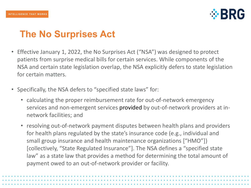

# **The No Surprises Act**

- Effective January 1, 2022, the No Surprises Act ("NSA") was designed to protect patients from surprise medical bills for certain services. While components of the NSA and certain state legislation overlap, the NSA explicitly defers to state legislation for certain matters.
- Specifically, the NSA defers to "specified state laws" for:
	- calculating the proper reimbursement rate for out-of-network emergency services and non-emergent services provided by out-of-network providers at innetwork facilities; and
	- resolving out-of-network payment disputes between health plans and providers for health plans regulated by the state's insurance code (e.g., individual and small group insurance and health maintenance organizations ["HMO"]) [collectively, "State Regulated Insurance"]. The NSA defines a "specified state law" as a state law that provides a method for determining the total amount of payment owed to an out-of-network provider or facility.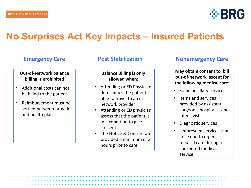

### **No Surprises Act Key Impacts – Insured Patients**

#### **Out-of-Network balance billing is prohibited**

- Additional costs can not be billed to the patient
- Reimbursement must be settled between provider and health plan

#### **Balance Billing is only allowed when:**

- Attending or ED Physician determines the patient is able to travel to an innetwork provider
- Attending or ED physician assess that the patient is in a condition to give consent
- The Notice & Consent are provided a minimum of 3 hours prior to care

#### **Emergency Care Post Stabilization Nonemergency Care**

**May obtain consent to bill out-of-network except for the following medical care:**

- Some ancillary services
- Items and services provided by assistant surgeons, hospitalist and intensivist
- Diagnostic services
- Unforeseen services that arise due to urgent medical care during a consented medical service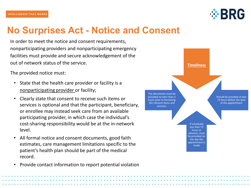

### **No Surprises Act - Notice and Consent**

In order to meet the notice and consent requirements, nonparticipating providers and nonparticipating emergency facilities must provide and secure acknowledgement of the out of network status of the service.

The provided notice must:

- State that the health care provider or facility is a nonparticipating provider or facility;
- Clearly state that consent to receive such items or services is optional and that the participant, beneficiary, or enrollee may instead seek care from an available participating provider, in which case the individual's cost-sharing responsibility would be at the in-network level.
- All formal notice and consent documents, good faith estimates, care management limitations specific to the patient's health plan should be part of the medical record.
- Provide contact information to report potential violation

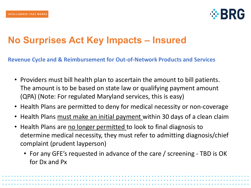

### **No Surprises Act Key Impacts – Insured**

**Revenue Cycle and & Reimbursement for Out-of-Network Products and Services**

- Providers must bill health plan to ascertain the amount to bill patients. The amount is to be based on state law or qualifying payment amount (QPA) (Note: For regulated Maryland services, this is easy)
- Health Plans are permitted to deny for medical necessity or non-coverage
- Health Plans must make an initial payment within 30 days of a clean claim
- Health Plans are no longer permitted to look to final diagnosis to determine medical necessity, they must refer to admitting diagnosis/chief complaint (prudent layperson)
	- For any GFE's requested in advance of the care / screening TBD is OK for Dx and Px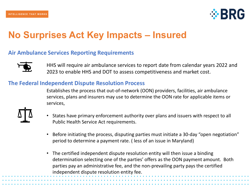

### **No Surprises Act Key Impacts – Insured**

#### **Air Ambulance Services Reporting Requirements**



HHS will require air ambulance services to report date from calendar years 2022 and 2023 to enable HHS and DOT to assess competitiveness and market cost.

#### **The Federal Independent Dispute Resolution Process**

Establishes the process that out-of-network (OON) providers, facilities, air ambulance services, plans and insurers may use to determine the OON rate for applicable items or services,



- States have primary enforcement authority over plans and issuers with respect to all Public Health Service Act requirements.
- Before initiating the process, disputing parties must initiate a 30-day "open negotiation" period to determine a payment rate. ( less of an issue in Maryland)
- The certified independent dispute resolution entity will then issue a binding determination selecting one of the parties' offers as the OON payment amount. Both parties pay an administrative fee, and the non-prevailing party pays the certified independent dispute resolution entity fee.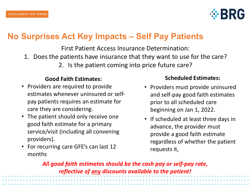

### **No Surprises Act Key Impacts – Self Pay Patients**

First Patient Access Insurance Determination: 1. Does the patients have insurance that they want to use for the care?

2. Is the patient coming into price future care?

### **Good Faith Estimates:**

- Providers are required to provide estimates whenever uninsured or selfpay patients requires an estimate for care they are considering.
- The patient should only receive one good faith estimate for a primary service/visit (including all convening providers).
- For recurring care GFE's can last 12 months

### **Scheduled Estimates:**

- Providers must provide uninsured and self-pay good faith estimates prior to all scheduled care beginning on Jan 1, 2022.
- If scheduled at least three days in advance, the provider must provide a good faith estimate regardless of whether the patient requests it,

*All good faith estimates should be the cash pay or self-pay rate, reflective of any discounts available to the patient!*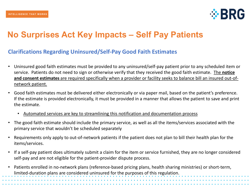

### **No Surprises Act Key Impacts – Self Pay Patients**

#### **Clarifications Regarding Uninsured/Self-Pay Good Faith Estimates**

- Uninsured good faith estimates must be provided to any uninsured/self-pay patient prior to any scheduled item or service. Patients do not need to sign or otherwise verify that they received the good faith estimate. The **notice and consent estimates** are required specifically when a provider or facility seeks to balance bill an insured out-ofnetwork patient.
- Good faith estimates must be delivered either electronically or via paper mail, based on the patient's preference. If the estimate is provided electronically, it must be provided in a manner that allows the patient to save and print the estimate.
	- Automated services are key to streamlining this notification and documentation process
- The good faith estimate should include the primary service, as well as all the items/services associated with the primary service that wouldn't be scheduled separately
- Requirements only apply to out-of-network patients if the patient does not plan to bill their health plan for the items/services.
- If a self-pay patient does ultimately submit a claim for the item or service furnished, they are no longer considered self-pay and are not eligible for the patient-provider dispute process.
- Patients enrolled in no-network plans (reference-based pricing plans, health sharing ministries) or short-term, limited-duration plans are considered uninsured for the purposes of this regulation.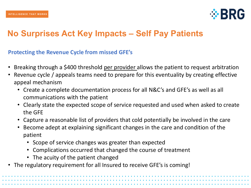

### **No Surprises Act Key Impacts – Self Pay Patients**

#### **Protecting the Revenue Cycle from missed GFE's**

- Breaking through a \$400 threshold per provider allows the patient to request arbitration
- Revenue cycle / appeals teams need to prepare for this eventuality by creating effective appeal mechanism
	- Create a complete documentation process for all N&C's and GFE's as well as all communications with the patient
	- Clearly state the expected scope of service requested and used when asked to create the GFE
	- Capture a reasonable list of providers that cold potentially be involved in the care
	- Become adept at explaining significant changes in the care and condition of the patient
		- Scope of service changes was greater than expected
		- Complications occurred that changed the course of treatment
		- The acuity of the patient changed
- The regulatory requirement for all Insured to receive GFE's is coming!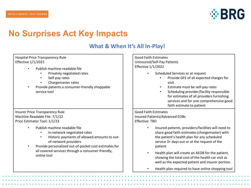

### **No Surprises Act Key Impacts**

### **What & When It's All In-Play!**

| Hospital Price Transparency Rule<br><b>Effective 1/1/2021</b><br>Publish machine-readable file<br>Privately negotiated rates<br>Self-pay rates<br>Chargemaster rates<br>Provide patients a consumer-friendly shoppable<br>service tool                                                                                                                                                                 | <b>Good Faith Estimates</b><br>Uninsured/Self-Pay Patients<br><b>Effective 1/1/2022</b><br>Scheduled Services or at request<br>Provide GFE of all expected charges for<br>visit<br>Estimate must be self-pay rates<br>Scheduling provider/facility responsible<br>$\bullet$<br>for estimates of all providers furnishing<br>services and for one comprehensive good<br>faith estimate to patient                                                                                                                                                |
|--------------------------------------------------------------------------------------------------------------------------------------------------------------------------------------------------------------------------------------------------------------------------------------------------------------------------------------------------------------------------------------------------------|-------------------------------------------------------------------------------------------------------------------------------------------------------------------------------------------------------------------------------------------------------------------------------------------------------------------------------------------------------------------------------------------------------------------------------------------------------------------------------------------------------------------------------------------------|
| <b>Insurer Price Transparency Rule</b><br>Machine Readable File: 7/1/22<br>Price Estimator Tool: 1/1/23<br>Publish machine readable file<br>In-network negotiated rates<br>Historic payments of allowed amounts to out-<br>$\bullet$<br>of-network providers<br>Provide personalized out-of-pocket cost estimates for<br>$\bullet$<br>all covered services through a consumer-friendly,<br>online tool | <b>Good Faith Estimates</b><br>Insured Patients/Advanced EOBs<br>Effective: TBD<br>Insured patients, providers/facilities will need to<br>$\bullet$<br>share good faith estimates (chargemaster) with<br>the patient's health plan for any scheduled<br>service 3+ days out or at the request of the<br>patient<br>Health plan will create an AEOB for the patient,<br>$\bullet$<br>showing the total cost of the health car visit as<br>well as the expected patient and insurer portion.<br>Health plan required to have online shopping tool |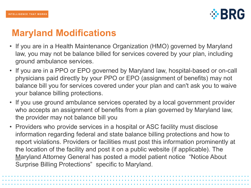

# **Maryland Modifications**

- If you are in a Health Maintenance Organization (HMO) governed by Maryland law, you may not be balance billed for services covered by your plan, including ground ambulance services.
- If you are in a PPO or EPO governed by Maryland law, hospital-based or on-call physicians paid directly by your PPO or EPO (assignment of benefits) may not balance bill you for services covered under your plan and can't ask you to waive your balance billing protections.
- If you use ground ambulance services operated by a local government provider who accepts an assignment of benefits from a plan governed by Maryland law, the provider may not balance bill you
- Providers who provide services in a hospital or ASC facility must disclose information regarding federal and state balance billing protections and how to report violations. Providers or facilities must post this information prominently at the location of the facility and post it on a public website (if applicable). The [M](https://www.marylandattorneygeneral.gov/Pages/CPD/HEAU/NSA.aspx#2)aryland Attorney General has posted a model patient notice "Notice About Surprise Billing Protections" specific to Maryland.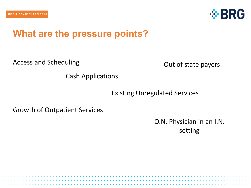

### **What are the pressure points?**

Access and Scheduling

Out of state payers

Cash Applications

Existing Unregulated Services

Growth of Outpatient Services

O.N. Physician in an I.N. setting